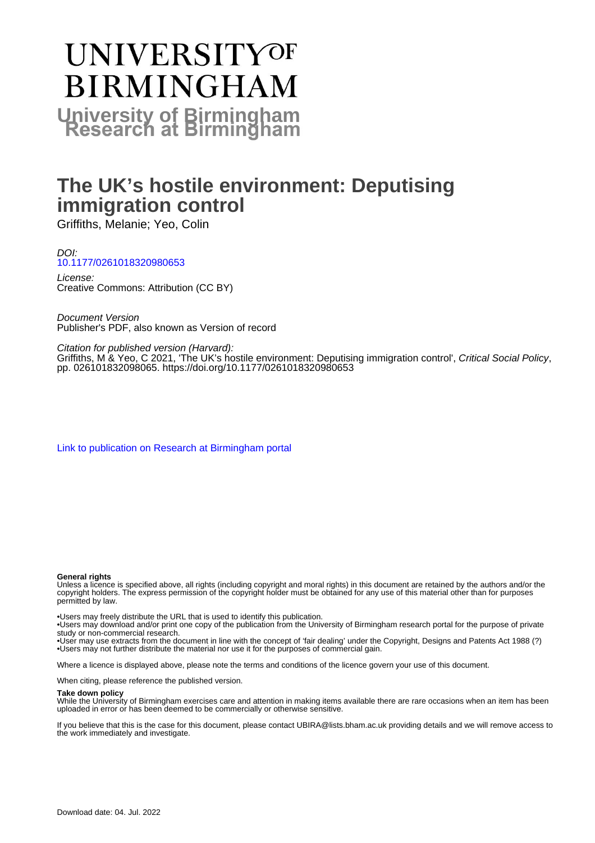# **UNIVERSITYOF BIRMINGHAM University of Birmingham**

# **The UK's hostile environment: Deputising immigration control**

Griffiths, Melanie; Yeo, Colin

#### DOI: [10.1177/0261018320980653](https://doi.org/10.1177/0261018320980653)

License: Creative Commons: Attribution (CC BY)

Document Version Publisher's PDF, also known as Version of record

Citation for published version (Harvard):

Griffiths, M & Yeo, C 2021, 'The UK's hostile environment: Deputising immigration control', Critical Social Policy, pp. 026101832098065. <https://doi.org/10.1177/0261018320980653>

[Link to publication on Research at Birmingham portal](https://birmingham.elsevierpure.com/en/publications/e0f4513c-d681-4a9c-9444-04b7aeee7da6)

#### **General rights**

Unless a licence is specified above, all rights (including copyright and moral rights) in this document are retained by the authors and/or the copyright holders. The express permission of the copyright holder must be obtained for any use of this material other than for purposes permitted by law.

• Users may freely distribute the URL that is used to identify this publication.

• Users may download and/or print one copy of the publication from the University of Birmingham research portal for the purpose of private study or non-commercial research.

• User may use extracts from the document in line with the concept of 'fair dealing' under the Copyright, Designs and Patents Act 1988 (?) • Users may not further distribute the material nor use it for the purposes of commercial gain.

Where a licence is displayed above, please note the terms and conditions of the licence govern your use of this document.

When citing, please reference the published version.

#### **Take down policy**

While the University of Birmingham exercises care and attention in making items available there are rare occasions when an item has been uploaded in error or has been deemed to be commercially or otherwise sensitive.

If you believe that this is the case for this document, please contact UBIRA@lists.bham.ac.uk providing details and we will remove access to the work immediately and investigate.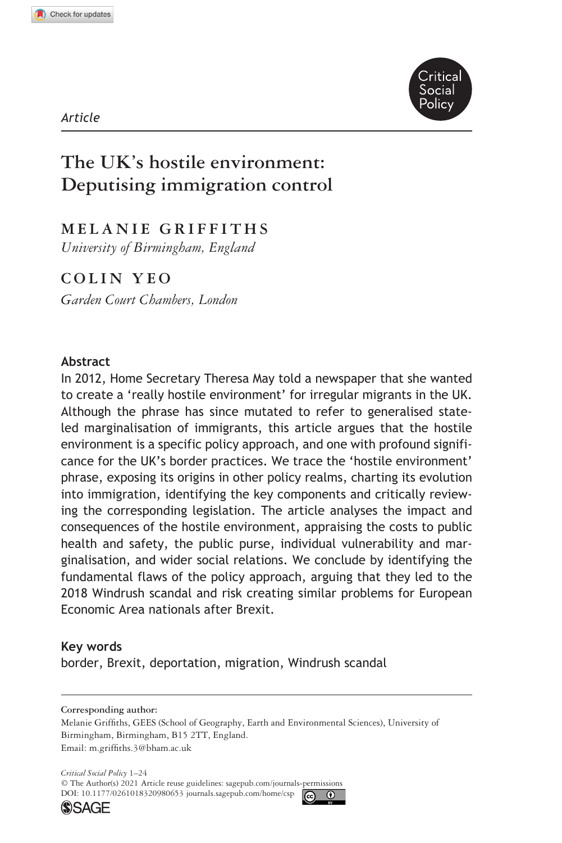

#### *Article*

# **The UK's hostile environment: Deputising immigration control**

# **MELANIE GRIFFITHS**

*University of Birmingham, England*

# **Colin Yeo**

*Garden Court Chambers, London*

#### **Abstract**

In 2012, Home Secretary Theresa May told a newspaper that she wanted to create a 'really hostile environment' for irregular migrants in the UK. Although the phrase has since mutated to refer to generalised stateled marginalisation of immigrants, this article argues that the hostile environment is a specific policy approach, and one with profound significance for the UK's border practices. We trace the 'hostile environment' phrase, exposing its origins in other policy realms, charting its evolution into immigration, identifying the key components and critically reviewing the corresponding legislation. The article analyses the impact and consequences of the hostile environment, appraising the costs to public health and safety, the public purse, individual vulnerability and marginalisation, and wider social relations. We conclude by identifying the fundamental flaws of the policy approach, arguing that they led to the 2018 Windrush scandal and risk creating similar problems for European Economic Area nationals after Brexit.

#### **Key words**

border, Brexit, deportation, migration, Windrush scandal

**Corresponding author:** Melanie Griffiths, GEES (School of Geography, Earth and Environmental Sciences), University of Birmingham, Birmingham, B15 2TT, England. Email: [m.griffiths.3@bham.ac.uk](mailto:m.griffiths.3@bham.ac.uk)

DOI: 10.1177/0261018320980653 [journals.sagepub.com/home/csp](https://journals.sagepub.com/home/csp) *Critical Social Policy* 1–24 © The Author(s) 2021 Article reuse guidelines: [sagepub.com/journals-permissions](https://uk.sagepub.com/en-gb/journals-permissions)



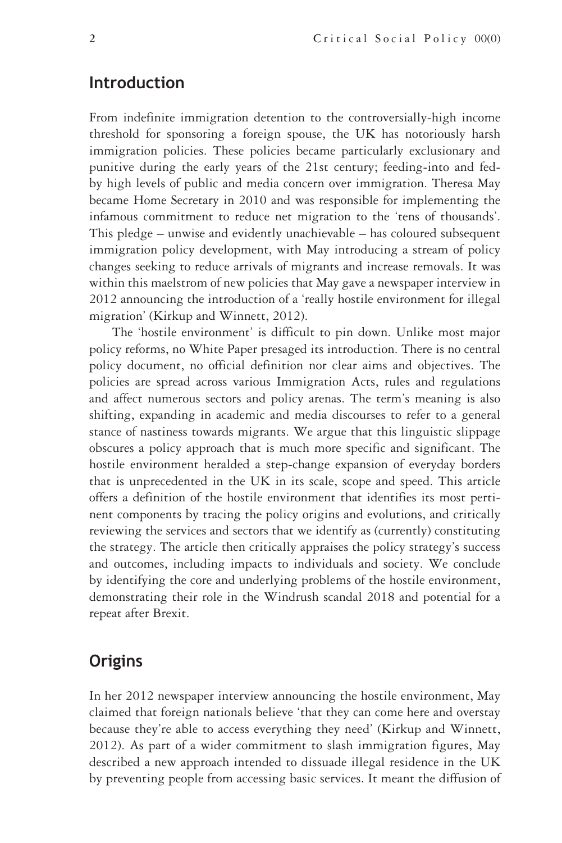## **Introduction**

From indefinite immigration detention to the controversially-high income threshold for sponsoring a foreign spouse, the UK has notoriously harsh immigration policies. These policies became particularly exclusionary and punitive during the early years of the 21st century; feeding-into and fedby high levels of public and media concern over immigration. Theresa May became Home Secretary in 2010 and was responsible for implementing the infamous commitment to reduce net migration to the 'tens of thousands'. This pledge – unwise and evidently unachievable – has coloured subsequent immigration policy development, with May introducing a stream of policy changes seeking to reduce arrivals of migrants and increase removals. It was within this maelstrom of new policies that May gave a newspaper interview in 2012 announcing the introduction of a 'really hostile environment for illegal migration' (Kirkup and Winnett, 2012).

The 'hostile environment' is difficult to pin down. Unlike most major policy reforms, no White Paper presaged its introduction. There is no central policy document, no official definition nor clear aims and objectives. The policies are spread across various Immigration Acts, rules and regulations and affect numerous sectors and policy arenas. The term's meaning is also shifting, expanding in academic and media discourses to refer to a general stance of nastiness towards migrants. We argue that this linguistic slippage obscures a policy approach that is much more specific and significant. The hostile environment heralded a step-change expansion of everyday borders that is unprecedented in the UK in its scale, scope and speed. This article offers a definition of the hostile environment that identifies its most pertinent components by tracing the policy origins and evolutions, and critically reviewing the services and sectors that we identify as (currently) constituting the strategy. The article then critically appraises the policy strategy's success and outcomes, including impacts to individuals and society. We conclude by identifying the core and underlying problems of the hostile environment, demonstrating their role in the Windrush scandal 2018 and potential for a repeat after Brexit.

# **Origins**

In her 2012 newspaper interview announcing the hostile environment, May claimed that foreign nationals believe 'that they can come here and overstay because they're able to access everything they need' (Kirkup and Winnett, 2012). As part of a wider commitment to slash immigration figures, May described a new approach intended to dissuade illegal residence in the UK by preventing people from accessing basic services. It meant the diffusion of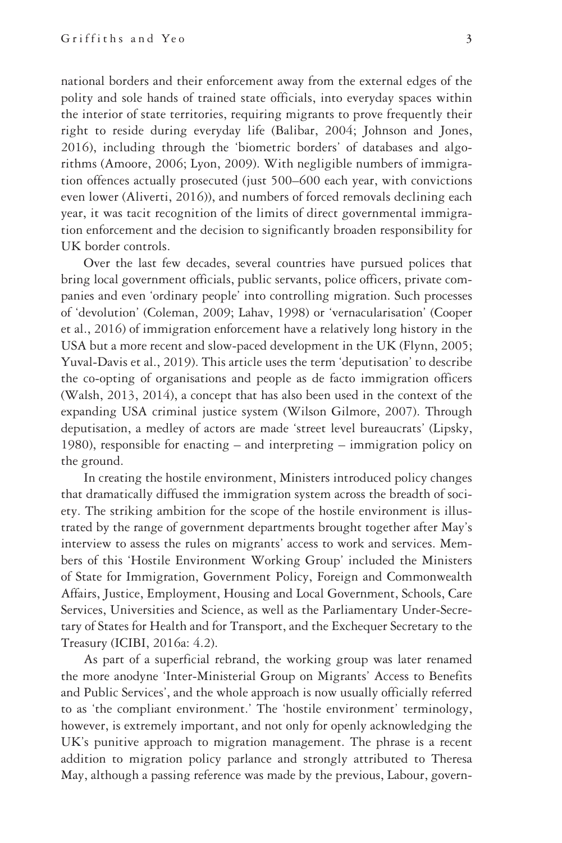national borders and their enforcement away from the external edges of the polity and sole hands of trained state officials, into everyday spaces within the interior of state territories, requiring migrants to prove frequently their right to reside during everyday life (Balibar, 2004; Johnson and Jones, 2016), including through the 'biometric borders' of databases and algorithms (Amoore, 2006; Lyon, 2009). With negligible numbers of immigration offences actually prosecuted (just 500–600 each year, with convictions even lower (Aliverti, 2016)), and numbers of forced removals declining each year, it was tacit recognition of the limits of direct governmental immigration enforcement and the decision to significantly broaden responsibility for UK border controls.

Over the last few decades, several countries have pursued polices that bring local government officials, public servants, police officers, private companies and even 'ordinary people' into controlling migration. Such processes of 'devolution' (Coleman, 2009; Lahav, 1998) or 'vernacularisation' (Cooper et al., 2016) of immigration enforcement have a relatively long history in the USA but a more recent and slow-paced development in the UK (Flynn, 2005; Yuval-Davis et al., 2019). This article uses the term 'deputisation' to describe the co-opting of organisations and people as de facto immigration officers (Walsh, 2013, 2014), a concept that has also been used in the context of the expanding USA criminal justice system (Wilson Gilmore, 2007). Through deputisation, a medley of actors are made 'street level bureaucrats' (Lipsky, 1980), responsible for enacting – and interpreting – immigration policy on the ground.

In creating the hostile environment, Ministers introduced policy changes that dramatically diffused the immigration system across the breadth of society. The striking ambition for the scope of the hostile environment is illustrated by the range of government departments brought together after May's interview to assess the rules on migrants' access to work and services. Members of this 'Hostile Environment Working Group' included the Ministers of State for Immigration, Government Policy, Foreign and Commonwealth Affairs, Justice, Employment, Housing and Local Government, Schools, Care Services, Universities and Science, as well as the Parliamentary Under-Secretary of States for Health and for Transport, and the Exchequer Secretary to the Treasury (ICIBI, 2016a: 4.2).

As part of a superficial rebrand, the working group was later renamed the more anodyne 'Inter-Ministerial Group on Migrants' Access to Benefits and Public Services', and the whole approach is now usually officially referred to as 'the compliant environment.' The 'hostile environment' terminology, however, is extremely important, and not only for openly acknowledging the UK's punitive approach to migration management. The phrase is a recent addition to migration policy parlance and strongly attributed to Theresa May, although a passing reference was made by the previous, Labour, govern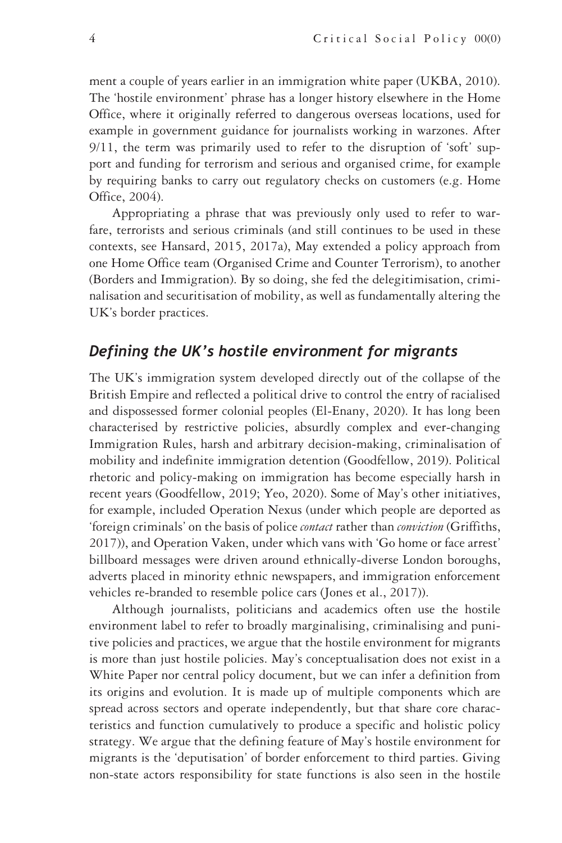ment a couple of years earlier in an immigration white paper (UKBA, 2010). The 'hostile environment' phrase has a longer history elsewhere in the Home Office, where it originally referred to dangerous overseas locations, used for example in government guidance for journalists working in warzones. After 9/11, the term was primarily used to refer to the disruption of 'soft' support and funding for terrorism and serious and organised crime, for example by requiring banks to carry out regulatory checks on customers (e.g. Home Office, 2004).

Appropriating a phrase that was previously only used to refer to warfare, terrorists and serious criminals (and still continues to be used in these contexts, see Hansard, 2015, 2017a), May extended a policy approach from one Home Office team (Organised Crime and Counter Terrorism), to another (Borders and Immigration). By so doing, she fed the delegitimisation, criminalisation and securitisation of mobility, as well as fundamentally altering the UK's border practices.

#### *Defining the UK's hostile environment for migrants*

The UK's immigration system developed directly out of the collapse of the British Empire and reflected a political drive to control the entry of racialised and dispossessed former colonial peoples (El-Enany, 2020). It has long been characterised by restrictive policies, absurdly complex and ever-changing Immigration Rules, harsh and arbitrary decision-making, criminalisation of mobility and indefinite immigration detention (Goodfellow, 2019). Political rhetoric and policy-making on immigration has become especially harsh in recent years (Goodfellow, 2019; Yeo, 2020). Some of May's other initiatives, for example, included Operation Nexus (under which people are deported as 'foreign criminals' on the basis of police *contact* rather than *conviction* (Griffiths, 2017)), and Operation Vaken, under which vans with 'Go home or face arrest' billboard messages were driven around ethnically-diverse London boroughs, adverts placed in minority ethnic newspapers, and immigration enforcement vehicles re-branded to resemble police cars (Jones et al., 2017)).

Although journalists, politicians and academics often use the hostile environment label to refer to broadly marginalising, criminalising and punitive policies and practices, we argue that the hostile environment for migrants is more than just hostile policies. May's conceptualisation does not exist in a White Paper nor central policy document, but we can infer a definition from its origins and evolution. It is made up of multiple components which are spread across sectors and operate independently, but that share core characteristics and function cumulatively to produce a specific and holistic policy strategy. We argue that the defining feature of May's hostile environment for migrants is the 'deputisation' of border enforcement to third parties. Giving non-state actors responsibility for state functions is also seen in the hostile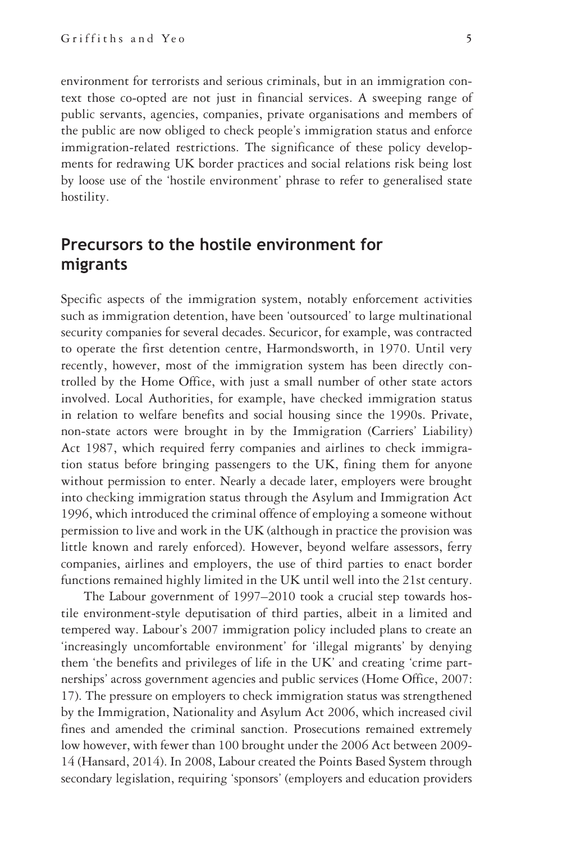environment for terrorists and serious criminals, but in an immigration context those co-opted are not just in financial services. A sweeping range of public servants, agencies, companies, private organisations and members of the public are now obliged to check people's immigration status and enforce immigration-related restrictions. The significance of these policy developments for redrawing UK border practices and social relations risk being lost by loose use of the 'hostile environment' phrase to refer to generalised state hostility.

# **Precursors to the hostile environment for migrants**

Specific aspects of the immigration system, notably enforcement activities such as immigration detention, have been 'outsourced' to large multinational security companies for several decades. Securicor, for example, was contracted to operate the first detention centre, Harmondsworth, in 1970. Until very recently, however, most of the immigration system has been directly controlled by the Home Office, with just a small number of other state actors involved. Local Authorities, for example, have checked immigration status in relation to welfare benefits and social housing since the 1990s. Private, non-state actors were brought in by the Immigration (Carriers' Liability) Act 1987, which required ferry companies and airlines to check immigration status before bringing passengers to the UK, fining them for anyone without permission to enter. Nearly a decade later, employers were brought into checking immigration status through the Asylum and Immigration Act 1996, which introduced the criminal offence of employing a someone without permission to live and work in the UK (although in practice the provision was little known and rarely enforced). However, beyond welfare assessors, ferry companies, airlines and employers, the use of third parties to enact border functions remained highly limited in the UK until well into the 21st century.

The Labour government of 1997–2010 took a crucial step towards hostile environment-style deputisation of third parties, albeit in a limited and tempered way. Labour's 2007 immigration policy included plans to create an 'increasingly uncomfortable environment' for 'illegal migrants' by denying them 'the benefits and privileges of life in the UK' and creating 'crime partnerships' across government agencies and public services (Home Office, 2007: 17). The pressure on employers to check immigration status was strengthened by the Immigration, Nationality and Asylum Act 2006, which increased civil fines and amended the criminal sanction. Prosecutions remained extremely low however, with fewer than 100 brought under the 2006 Act between 2009- 14 (Hansard, 2014). In 2008, Labour created the Points Based System through secondary legislation, requiring 'sponsors' (employers and education providers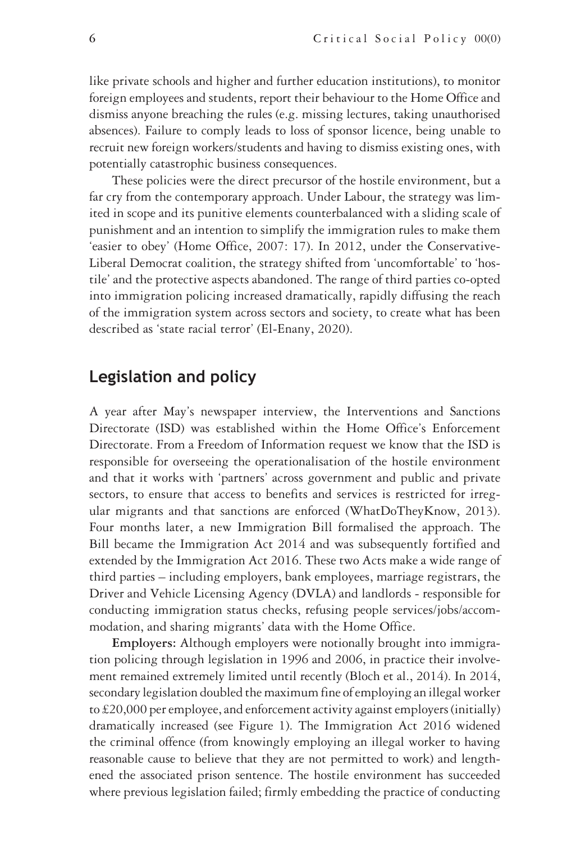like private schools and higher and further education institutions), to monitor foreign employees and students, report their behaviour to the Home Office and dismiss anyone breaching the rules (e.g. missing lectures, taking unauthorised absences). Failure to comply leads to loss of sponsor licence, being unable to recruit new foreign workers/students and having to dismiss existing ones, with potentially catastrophic business consequences.

These policies were the direct precursor of the hostile environment, but a far cry from the contemporary approach. Under Labour, the strategy was limited in scope and its punitive elements counterbalanced with a sliding scale of punishment and an intention to simplify the immigration rules to make them 'easier to obey' (Home Office, 2007: 17). In 2012, under the Conservative-Liberal Democrat coalition, the strategy shifted from 'uncomfortable' to 'hostile' and the protective aspects abandoned. The range of third parties co-opted into immigration policing increased dramatically, rapidly diffusing the reach of the immigration system across sectors and society, to create what has been described as 'state racial terror' (El-Enany, 2020).

## **Legislation and policy**

A year after May's newspaper interview, the Interventions and Sanctions Directorate (ISD) was established within the Home Office's Enforcement Directorate. From a Freedom of Information request we know that the ISD is responsible for overseeing the operationalisation of the hostile environment and that it works with 'partners' across government and public and private sectors, to ensure that access to benefits and services is restricted for irregular migrants and that sanctions are enforced (WhatDoTheyKnow, 2013). Four months later, a new Immigration Bill formalised the approach. The Bill became the Immigration Act 2014 and was subsequently fortified and extended by the Immigration Act 2016. These two Acts make a wide range of third parties – including employers, bank employees, marriage registrars, the Driver and Vehicle Licensing Agency (DVLA) and landlords - responsible for conducting immigration status checks, refusing people services/jobs/accommodation, and sharing migrants' data with the Home Office.

**Employers:** Although employers were notionally brought into immigration policing through legislation in 1996 and 2006, in practice their involvement remained extremely limited until recently (Bloch et al., 2014). In 2014, secondary legislation doubled the maximum fine of employing an illegal worker to £20,000 per employee, and enforcement activity against employers (initially) dramatically increased (see Figure 1). The Immigration Act 2016 widened the criminal offence (from knowingly employing an illegal worker to having reasonable cause to believe that they are not permitted to work) and lengthened the associated prison sentence. The hostile environment has succeeded where previous legislation failed; firmly embedding the practice of conducting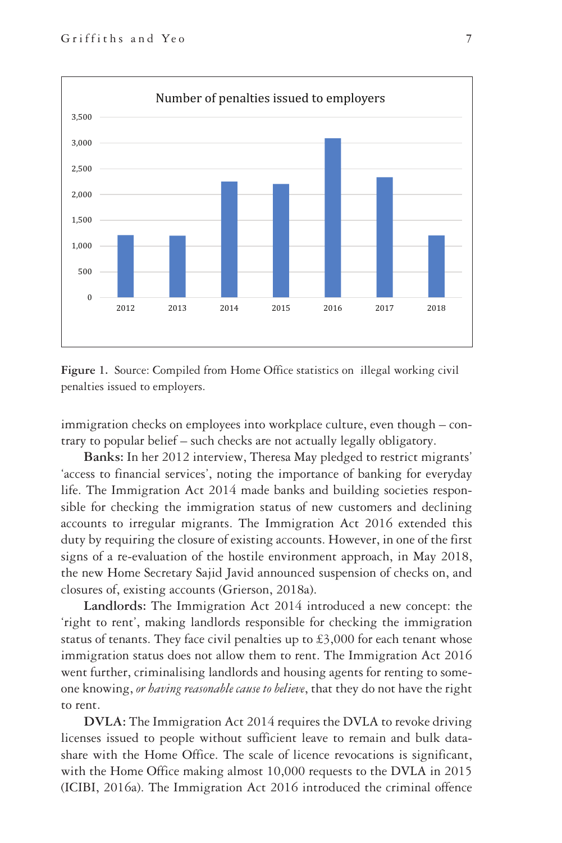



immigration checks on employees into workplace culture, even though – contrary to popular belief – such checks are not actually legally obligatory.

**Banks:** In her 2012 interview, Theresa May pledged to restrict migrants' 'access to financial services', noting the importance of banking for everyday life. The Immigration Act 2014 made banks and building societies responsible for checking the immigration status of new customers and declining accounts to irregular migrants. The Immigration Act 2016 extended this duty by requiring the closure of existing accounts. However, in one of the first signs of a re-evaluation of the hostile environment approach, in May 2018, the new Home Secretary Sajid Javid announced suspension of checks on, and closures of, existing accounts (Grierson, 2018a).

**Landlords:** The Immigration Act 2014 introduced a new concept: the 'right to rent', making landlords responsible for checking the immigration status of tenants. They face civil penalties up to  $\text{\pounds}3,000$  for each tenant whose immigration status does not allow them to rent. The Immigration Act 2016 went further, criminalising landlords and housing agents for renting to someone knowing, *or having reasonable cause to believe*, that they do not have the right to rent.

**DVLA:** The Immigration Act 2014 requires the DVLA to revoke driving licenses issued to people without sufficient leave to remain and bulk datashare with the Home Office. The scale of licence revocations is significant, with the Home Office making almost 10,000 requests to the DVLA in 2015 (ICIBI, 2016a). The Immigration Act 2016 introduced the criminal offence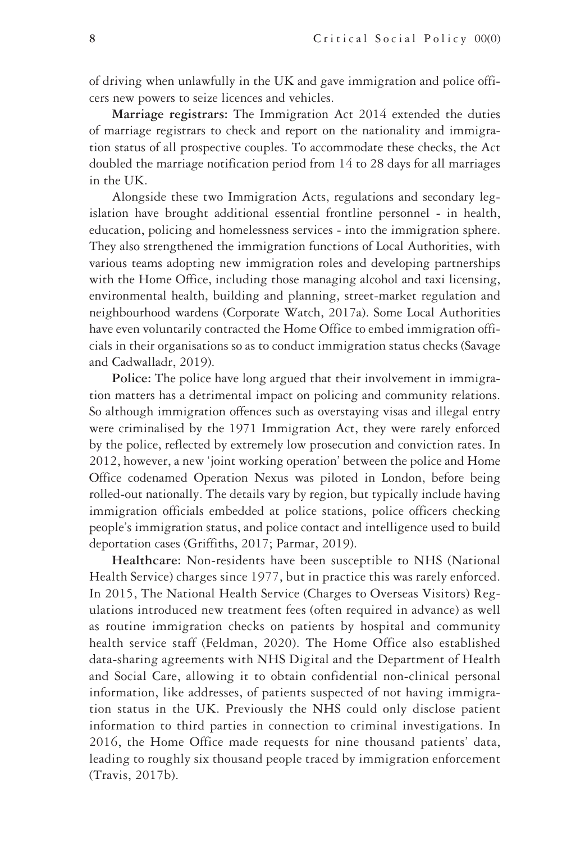of driving when unlawfully in the UK and gave immigration and police officers new powers to seize licences and vehicles.

**Marriage registrars:** The Immigration Act 2014 extended the duties of marriage registrars to check and report on the nationality and immigration status of all prospective couples. To accommodate these checks, the Act doubled the marriage notification period from 14 to 28 days for all marriages in the UK.

Alongside these two Immigration Acts, regulations and secondary legislation have brought additional essential frontline personnel - in health, education, policing and homelessness services - into the immigration sphere. They also strengthened the immigration functions of Local Authorities, with various teams adopting new immigration roles and developing partnerships with the Home Office, including those managing alcohol and taxi licensing, environmental health, building and planning, street-market regulation and neighbourhood wardens (Corporate Watch, 2017a). Some Local Authorities have even voluntarily contracted the Home Office to embed immigration officials in their organisations so as to conduct immigration status checks (Savage and Cadwalladr, 2019).

**Police:** The police have long argued that their involvement in immigration matters has a detrimental impact on policing and community relations. So although immigration offences such as overstaying visas and illegal entry were criminalised by the 1971 Immigration Act, they were rarely enforced by the police, reflected by extremely low prosecution and conviction rates. In 2012, however, a new 'joint working operation' between the police and Home Office codenamed Operation Nexus was piloted in London, before being rolled-out nationally. The details vary by region, but typically include having immigration officials embedded at police stations, police officers checking people's immigration status, and police contact and intelligence used to build deportation cases (Griffiths, 2017; Parmar, 2019).

**Healthcare:** Non-residents have been susceptible to NHS (National Health Service) charges since 1977, but in practice this was rarely enforced. In 2015, The National Health Service (Charges to Overseas Visitors) Regulations introduced new treatment fees (often required in advance) as well as routine immigration checks on patients by hospital and community health service staff (Feldman, 2020). The Home Office also established data-sharing agreements with NHS Digital and the Department of Health and Social Care, allowing it to obtain confidential non-clinical personal information, like addresses, of patients suspected of not having immigration status in the UK. Previously the NHS could only disclose patient information to third parties in connection to criminal investigations. In 2016, the Home Office made requests for nine thousand patients' data, leading to roughly six thousand people traced by immigration enforcement (Travis, 2017b).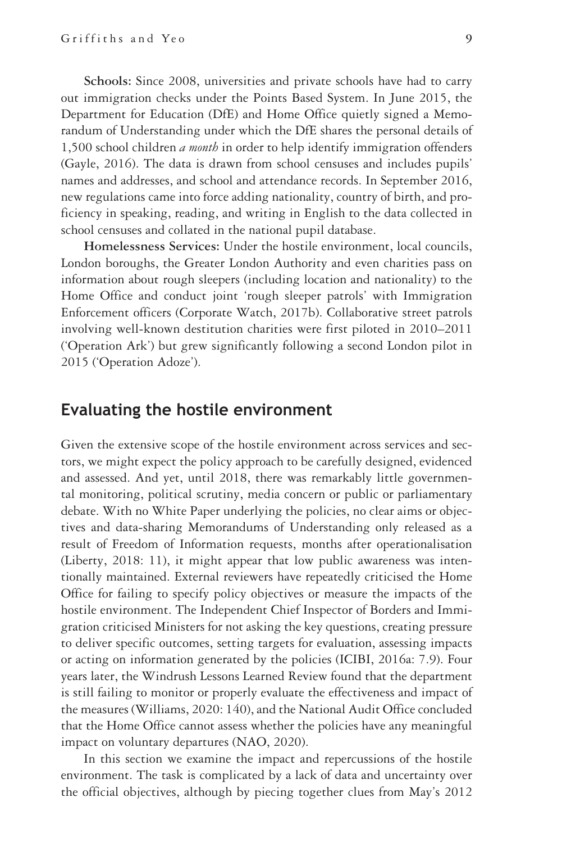**Schools:** Since 2008, universities and private schools have had to carry out immigration checks under the Points Based System. In June 2015, the Department for Education (DfE) and Home Office quietly signed a Memorandum of Understanding under which the DfE shares the personal details of 1,500 school children *a month* in order to help identify immigration offenders (Gayle, 2016). The data is drawn from school censuses and includes pupils' names and addresses, and school and attendance records. In September 2016, new regulations came into force adding nationality, country of birth, and proficiency in speaking, reading, and writing in English to the data collected in school censuses and collated in the national pupil database.

**Homelessness Services:** Under the hostile environment, local councils, London boroughs, the Greater London Authority and even charities pass on information about rough sleepers (including location and nationality) to the Home Office and conduct joint 'rough sleeper patrols' with Immigration Enforcement officers (Corporate Watch, 2017b). Collaborative street patrols involving well-known destitution charities were first piloted in 2010–2011 ('Operation Ark') but grew significantly following a second London pilot in 2015 ('Operation Adoze').

#### **Evaluating the hostile environment**

Given the extensive scope of the hostile environment across services and sectors, we might expect the policy approach to be carefully designed, evidenced and assessed. And yet, until 2018, there was remarkably little governmental monitoring, political scrutiny, media concern or public or parliamentary debate. With no White Paper underlying the policies, no clear aims or objectives and data-sharing Memorandums of Understanding only released as a result of Freedom of Information requests, months after operationalisation (Liberty, 2018: 11), it might appear that low public awareness was intentionally maintained. External reviewers have repeatedly criticised the Home Office for failing to specify policy objectives or measure the impacts of the hostile environment. The Independent Chief Inspector of Borders and Immigration criticised Ministers for not asking the key questions, creating pressure to deliver specific outcomes, setting targets for evaluation, assessing impacts or acting on information generated by the policies (ICIBI, 2016a: 7.9). Four years later, the Windrush Lessons Learned Review found that the department is still failing to monitor or properly evaluate the effectiveness and impact of the measures (Williams, 2020: 140), and the National Audit Office concluded that the Home Office cannot assess whether the policies have any meaningful impact on voluntary departures (NAO, 2020).

In this section we examine the impact and repercussions of the hostile environment. The task is complicated by a lack of data and uncertainty over the official objectives, although by piecing together clues from May's 2012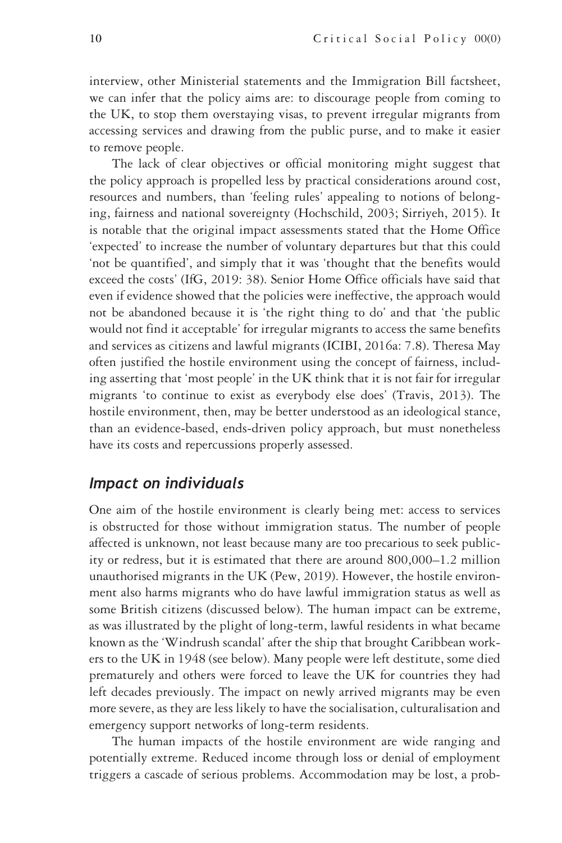interview, other Ministerial statements and the Immigration Bill factsheet, we can infer that the policy aims are: to discourage people from coming to the UK, to stop them overstaying visas, to prevent irregular migrants from accessing services and drawing from the public purse, and to make it easier to remove people.

The lack of clear objectives or official monitoring might suggest that the policy approach is propelled less by practical considerations around cost, resources and numbers, than 'feeling rules' appealing to notions of belonging, fairness and national sovereignty (Hochschild, 2003; Sirriyeh, 2015). It is notable that the original impact assessments stated that the Home Office 'expected' to increase the number of voluntary departures but that this could 'not be quantified', and simply that it was 'thought that the benefits would exceed the costs' (IfG, 2019: 38). Senior Home Office officials have said that even if evidence showed that the policies were ineffective, the approach would not be abandoned because it is 'the right thing to do' and that 'the public would not find it acceptable' for irregular migrants to access the same benefits and services as citizens and lawful migrants (ICIBI, 2016a: 7.8). Theresa May often justified the hostile environment using the concept of fairness, including asserting that 'most people' in the UK think that it is not fair for irregular migrants 'to continue to exist as everybody else does' (Travis, 2013). The hostile environment, then, may be better understood as an ideological stance, than an evidence-based, ends-driven policy approach, but must nonetheless have its costs and repercussions properly assessed.

#### *Impact on individuals*

One aim of the hostile environment is clearly being met: access to services is obstructed for those without immigration status. The number of people affected is unknown, not least because many are too precarious to seek publicity or redress, but it is estimated that there are around 800,000–1.2 million unauthorised migrants in the UK (Pew, 2019). However, the hostile environment also harms migrants who do have lawful immigration status as well as some British citizens (discussed below). The human impact can be extreme, as was illustrated by the plight of long-term, lawful residents in what became known as the 'Windrush scandal' after the ship that brought Caribbean workers to the UK in 1948 (see below). Many people were left destitute, some died prematurely and others were forced to leave the UK for countries they had left decades previously. The impact on newly arrived migrants may be even more severe, as they are less likely to have the socialisation, culturalisation and emergency support networks of long-term residents.

The human impacts of the hostile environment are wide ranging and potentially extreme. Reduced income through loss or denial of employment triggers a cascade of serious problems. Accommodation may be lost, a prob-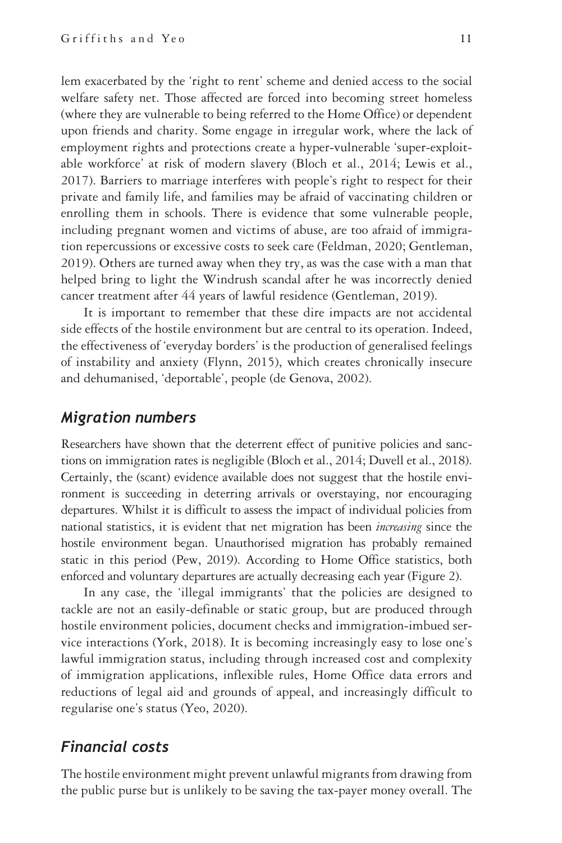lem exacerbated by the 'right to rent' scheme and denied access to the social welfare safety net. Those affected are forced into becoming street homeless (where they are vulnerable to being referred to the Home Office) or dependent upon friends and charity. Some engage in irregular work, where the lack of employment rights and protections create a hyper-vulnerable 'super-exploitable workforce' at risk of modern slavery (Bloch et al., 2014; Lewis et al., 2017). Barriers to marriage interferes with people's right to respect for their private and family life, and families may be afraid of vaccinating children or enrolling them in schools. There is evidence that some vulnerable people, including pregnant women and victims of abuse, are too afraid of immigration repercussions or excessive costs to seek care (Feldman, 2020; Gentleman, 2019). Others are turned away when they try, as was the case with a man that helped bring to light the Windrush scandal after he was incorrectly denied cancer treatment after 44 years of lawful residence (Gentleman, 2019).

It is important to remember that these dire impacts are not accidental side effects of the hostile environment but are central to its operation. Indeed, the effectiveness of 'everyday borders' is the production of generalised feelings of instability and anxiety (Flynn, 2015), which creates chronically insecure and dehumanised, 'deportable', people (de Genova, 2002).

#### *Migration numbers*

Researchers have shown that the deterrent effect of punitive policies and sanctions on immigration rates is negligible (Bloch et al., 2014; Duvell et al., 2018). Certainly, the (scant) evidence available does not suggest that the hostile environment is succeeding in deterring arrivals or overstaying, nor encouraging departures. Whilst it is difficult to assess the impact of individual policies from national statistics, it is evident that net migration has been *increasing* since the hostile environment began. Unauthorised migration has probably remained static in this period (Pew, 2019). According to Home Office statistics, both enforced and voluntary departures are actually decreasing each year (Figure 2).

In any case, the 'illegal immigrants' that the policies are designed to tackle are not an easily-definable or static group, but are produced through hostile environment policies, document checks and immigration-imbued service interactions (York, 2018). It is becoming increasingly easy to lose one's lawful immigration status, including through increased cost and complexity of immigration applications, inflexible rules, Home Office data errors and reductions of legal aid and grounds of appeal, and increasingly difficult to regularise one's status (Yeo, 2020).

#### *Financial costs*

The hostile environment might prevent unlawful migrants from drawing from the public purse but is unlikely to be saving the tax-payer money overall. The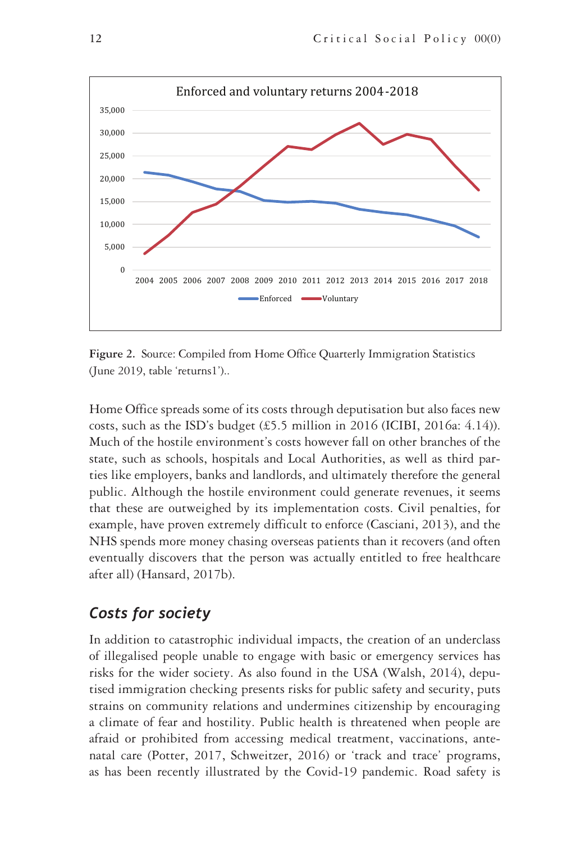

**Figure 2.** Source: Compiled from Home Office Quarterly Immigration Statistics (June 2019, table 'returns1')..

Home Office spreads some of its costs through deputisation but also faces new costs, such as the ISD's budget  $(\text{\pounds}5.5 \text{ million in } 2016 \text{ (ICIBI, } 2016a: 4.14)).$ Much of the hostile environment's costs however fall on other branches of the state, such as schools, hospitals and Local Authorities, as well as third parties like employers, banks and landlords, and ultimately therefore the general public. Although the hostile environment could generate revenues, it seems that these are outweighed by its implementation costs. Civil penalties, for example, have proven extremely difficult to enforce (Casciani, 2013), and the NHS spends more money chasing overseas patients than it recovers (and often eventually discovers that the person was actually entitled to free healthcare after all) (Hansard, 2017b).

# *Costs for society*

In addition to catastrophic individual impacts, the creation of an underclass of illegalised people unable to engage with basic or emergency services has risks for the wider society. As also found in the USA (Walsh, 2014), deputised immigration checking presents risks for public safety and security, puts strains on community relations and undermines citizenship by encouraging a climate of fear and hostility. Public health is threatened when people are afraid or prohibited from accessing medical treatment, vaccinations, antenatal care (Potter, 2017, Schweitzer, 2016) or 'track and trace' programs, as has been recently illustrated by the Covid-19 pandemic. Road safety is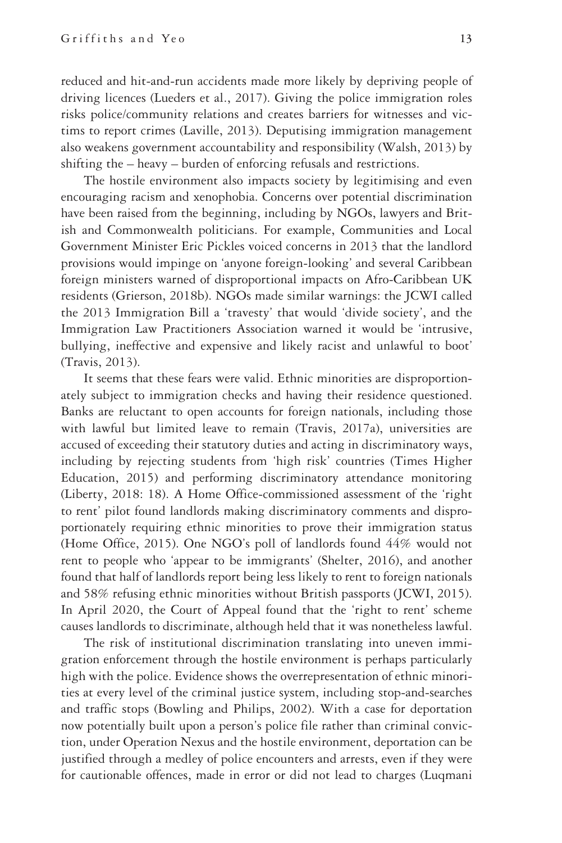reduced and hit-and-run accidents made more likely by depriving people of driving licences (Lueders et al., 2017). Giving the police immigration roles risks police/community relations and creates barriers for witnesses and victims to report crimes (Laville, 2013). Deputising immigration management also weakens government accountability and responsibility (Walsh, 2013) by shifting the – heavy – burden of enforcing refusals and restrictions.

The hostile environment also impacts society by legitimising and even encouraging racism and xenophobia. Concerns over potential discrimination have been raised from the beginning, including by NGOs, lawyers and British and Commonwealth politicians. For example, Communities and Local Government Minister Eric Pickles voiced concerns in 2013 that the landlord provisions would impinge on 'anyone foreign-looking' and several Caribbean foreign ministers warned of disproportional impacts on Afro-Caribbean UK residents (Grierson, 2018b). NGOs made similar warnings: the JCWI called the 2013 Immigration Bill a 'travesty' that would 'divide society', and the Immigration Law Practitioners Association warned it would be 'intrusive, bullying, ineffective and expensive and likely racist and unlawful to boot' (Travis, 2013).

It seems that these fears were valid. Ethnic minorities are disproportionately subject to immigration checks and having their residence questioned. Banks are reluctant to open accounts for foreign nationals, including those with lawful but limited leave to remain (Travis, 2017a), universities are accused of exceeding their statutory duties and acting in discriminatory ways, including by rejecting students from 'high risk' countries (Times Higher Education, 2015) and performing discriminatory attendance monitoring (Liberty, 2018: 18). A Home Office-commissioned assessment of the 'right to rent' pilot found landlords making discriminatory comments and disproportionately requiring ethnic minorities to prove their immigration status (Home Office, 2015). One NGO's poll of landlords found 44% would not rent to people who 'appear to be immigrants' (Shelter, 2016), and another found that half of landlords report being less likely to rent to foreign nationals and 58% refusing ethnic minorities without British passports (JCWI, 2015). In April 2020, the Court of Appeal found that the 'right to rent' scheme causes landlords to discriminate, although held that it was nonetheless lawful.

The risk of institutional discrimination translating into uneven immigration enforcement through the hostile environment is perhaps particularly high with the police. Evidence shows the overrepresentation of ethnic minorities at every level of the criminal justice system, including stop-and-searches and traffic stops (Bowling and Philips, 2002). With a case for deportation now potentially built upon a person's police file rather than criminal conviction, under Operation Nexus and the hostile environment, deportation can be justified through a medley of police encounters and arrests, even if they were for cautionable offences, made in error or did not lead to charges (Luqmani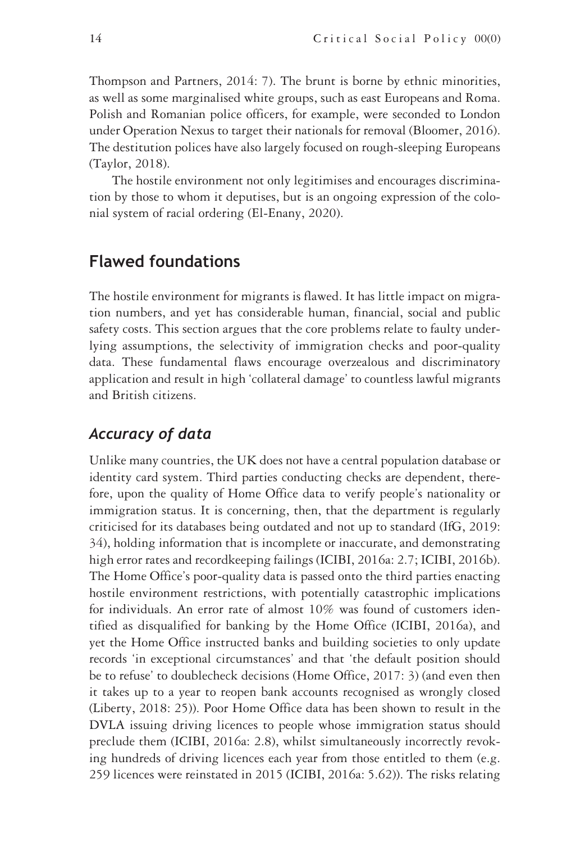Thompson and Partners, 2014: 7). The brunt is borne by ethnic minorities, as well as some marginalised white groups, such as east Europeans and Roma. Polish and Romanian police officers, for example, were seconded to London under Operation Nexus to target their nationals for removal (Bloomer, 2016). The destitution polices have also largely focused on rough-sleeping Europeans (Taylor, 2018).

The hostile environment not only legitimises and encourages discrimination by those to whom it deputises, but is an ongoing expression of the colonial system of racial ordering (El-Enany, 2020).

# **Flawed foundations**

The hostile environment for migrants is flawed. It has little impact on migration numbers, and yet has considerable human, financial, social and public safety costs. This section argues that the core problems relate to faulty underlying assumptions, the selectivity of immigration checks and poor-quality data. These fundamental flaws encourage overzealous and discriminatory application and result in high 'collateral damage' to countless lawful migrants and British citizens.

#### *Accuracy of data*

Unlike many countries, the UK does not have a central population database or identity card system. Third parties conducting checks are dependent, therefore, upon the quality of Home Office data to verify people's nationality or immigration status. It is concerning, then, that the department is regularly criticised for its databases being outdated and not up to standard (IfG, 2019: 34), holding information that is incomplete or inaccurate, and demonstrating high error rates and recordkeeping failings (ICIBI, 2016a: 2.7; ICIBI, 2016b). The Home Office's poor-quality data is passed onto the third parties enacting hostile environment restrictions, with potentially catastrophic implications for individuals. An error rate of almost 10% was found of customers identified as disqualified for banking by the Home Office (ICIBI, 2016a), and yet the Home Office instructed banks and building societies to only update records 'in exceptional circumstances' and that 'the default position should be to refuse' to doublecheck decisions (Home Office, 2017: 3) (and even then it takes up to a year to reopen bank accounts recognised as wrongly closed (Liberty, 2018: 25)). Poor Home Office data has been shown to result in the DVLA issuing driving licences to people whose immigration status should preclude them (ICIBI, 2016a: 2.8), whilst simultaneously incorrectly revoking hundreds of driving licences each year from those entitled to them (e.g. 259 licences were reinstated in 2015 (ICIBI, 2016a: 5.62)). The risks relating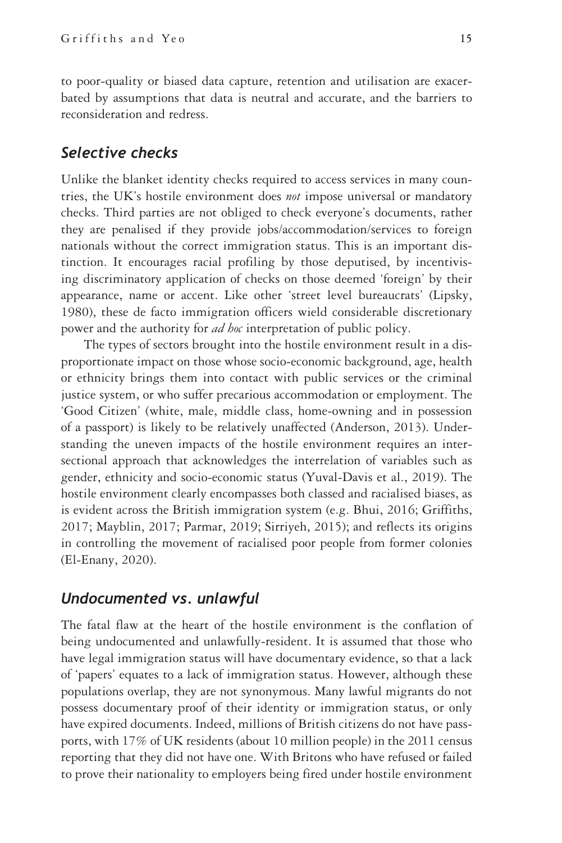to poor-quality or biased data capture, retention and utilisation are exacerbated by assumptions that data is neutral and accurate, and the barriers to reconsideration and redress.

#### *Selective checks*

Unlike the blanket identity checks required to access services in many countries, the UK's hostile environment does *not* impose universal or mandatory checks. Third parties are not obliged to check everyone's documents, rather they are penalised if they provide jobs/accommodation/services to foreign nationals without the correct immigration status. This is an important distinction. It encourages racial profiling by those deputised, by incentivising discriminatory application of checks on those deemed 'foreign' by their appearance, name or accent. Like other 'street level bureaucrats' (Lipsky, 1980), these de facto immigration officers wield considerable discretionary power and the authority for *ad hoc* interpretation of public policy.

The types of sectors brought into the hostile environment result in a disproportionate impact on those whose socio-economic background, age, health or ethnicity brings them into contact with public services or the criminal justice system, or who suffer precarious accommodation or employment. The 'Good Citizen' (white, male, middle class, home-owning and in possession of a passport) is likely to be relatively unaffected (Anderson, 2013). Understanding the uneven impacts of the hostile environment requires an intersectional approach that acknowledges the interrelation of variables such as gender, ethnicity and socio-economic status (Yuval-Davis et al., 2019). The hostile environment clearly encompasses both classed and racialised biases, as is evident across the British immigration system (e.g. Bhui, 2016; Griffiths, 2017; Mayblin, 2017; Parmar, 2019; Sirriyeh, 2015); and reflects its origins in controlling the movement of racialised poor people from former colonies (El-Enany, 2020).

#### *Undocumented vs. unlawful*

The fatal flaw at the heart of the hostile environment is the conflation of being undocumented and unlawfully-resident. It is assumed that those who have legal immigration status will have documentary evidence, so that a lack of 'papers' equates to a lack of immigration status. However, although these populations overlap, they are not synonymous. Many lawful migrants do not possess documentary proof of their identity or immigration status, or only have expired documents. Indeed, millions of British citizens do not have passports, with 17% of UK residents (about 10 million people) in the 2011 census reporting that they did not have one. With Britons who have refused or failed to prove their nationality to employers being fired under hostile environment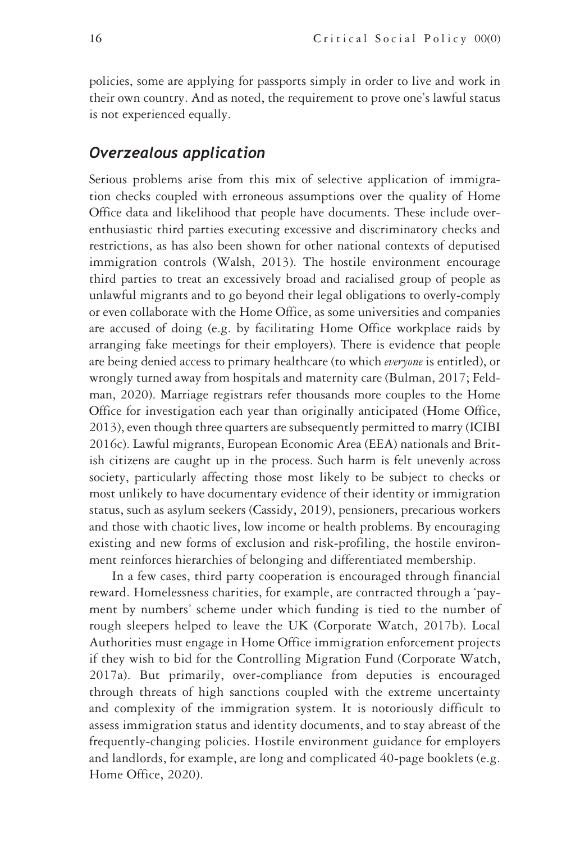policies, some are applying for passports simply in order to live and work in their own country. And as noted, the requirement to prove one's lawful status is not experienced equally.

#### *Overzealous application*

Serious problems arise from this mix of selective application of immigration checks coupled with erroneous assumptions over the quality of Home Office data and likelihood that people have documents. These include overenthusiastic third parties executing excessive and discriminatory checks and restrictions, as has also been shown for other national contexts of deputised immigration controls (Walsh, 2013). The hostile environment encourage third parties to treat an excessively broad and racialised group of people as unlawful migrants and to go beyond their legal obligations to overly-comply or even collaborate with the Home Office, as some universities and companies are accused of doing (e.g. by facilitating Home Office workplace raids by arranging fake meetings for their employers). There is evidence that people are being denied access to primary healthcare (to which *everyone* is entitled), or wrongly turned away from hospitals and maternity care (Bulman, 2017; Feldman, 2020). Marriage registrars refer thousands more couples to the Home Office for investigation each year than originally anticipated (Home Office, 2013), even though three quarters are subsequently permitted to marry (ICIBI 2016c). Lawful migrants, European Economic Area (EEA) nationals and British citizens are caught up in the process. Such harm is felt unevenly across society, particularly affecting those most likely to be subject to checks or most unlikely to have documentary evidence of their identity or immigration status, such as asylum seekers (Cassidy, 2019), pensioners, precarious workers and those with chaotic lives, low income or health problems. By encouraging existing and new forms of exclusion and risk-profiling, the hostile environment reinforces hierarchies of belonging and differentiated membership.

In a few cases, third party cooperation is encouraged through financial reward. Homelessness charities, for example, are contracted through a 'payment by numbers' scheme under which funding is tied to the number of rough sleepers helped to leave the UK (Corporate Watch, 2017b). Local Authorities must engage in Home Office immigration enforcement projects if they wish to bid for the Controlling Migration Fund (Corporate Watch, 2017a). But primarily, over-compliance from deputies is encouraged through threats of high sanctions coupled with the extreme uncertainty and complexity of the immigration system. It is notoriously difficult to assess immigration status and identity documents, and to stay abreast of the frequently-changing policies. Hostile environment guidance for employers and landlords, for example, are long and complicated 40-page booklets (e.g. Home Office, 2020).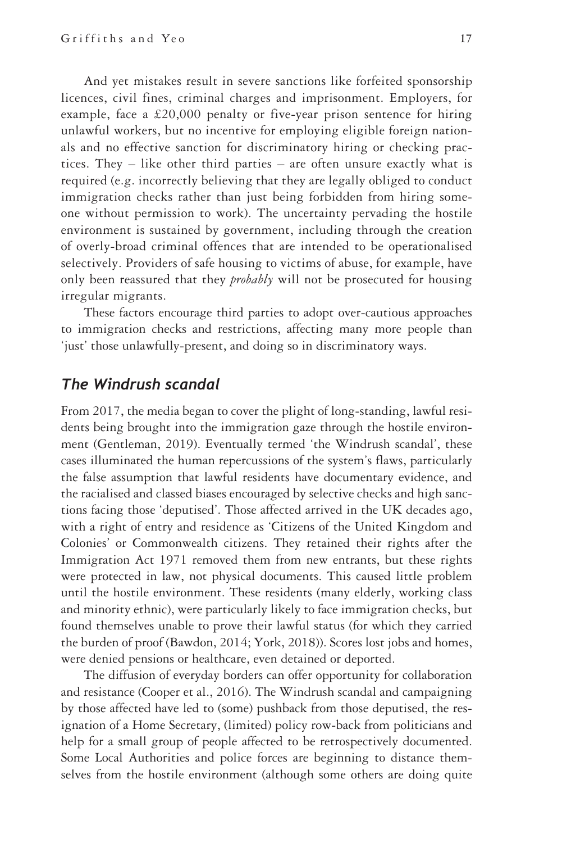And yet mistakes result in severe sanctions like forfeited sponsorship licences, civil fines, criminal charges and imprisonment. Employers, for example, face a £20,000 penalty or five-year prison sentence for hiring unlawful workers, but no incentive for employing eligible foreign nationals and no effective sanction for discriminatory hiring or checking practices. They – like other third parties – are often unsure exactly what is required (e.g. incorrectly believing that they are legally obliged to conduct immigration checks rather than just being forbidden from hiring someone without permission to work). The uncertainty pervading the hostile environment is sustained by government, including through the creation of overly-broad criminal offences that are intended to be operationalised selectively. Providers of safe housing to victims of abuse, for example, have only been reassured that they *probably* will not be prosecuted for housing irregular migrants.

These factors encourage third parties to adopt over-cautious approaches to immigration checks and restrictions, affecting many more people than 'just' those unlawfully-present, and doing so in discriminatory ways.

#### *The Windrush scandal*

From 2017, the media began to cover the plight of long-standing, lawful residents being brought into the immigration gaze through the hostile environment (Gentleman, 2019). Eventually termed 'the Windrush scandal', these cases illuminated the human repercussions of the system's flaws, particularly the false assumption that lawful residents have documentary evidence, and the racialised and classed biases encouraged by selective checks and high sanctions facing those 'deputised'. Those affected arrived in the UK decades ago, with a right of entry and residence as 'Citizens of the United Kingdom and Colonies' or Commonwealth citizens. They retained their rights after the Immigration Act 1971 removed them from new entrants, but these rights were protected in law, not physical documents. This caused little problem until the hostile environment. These residents (many elderly, working class and minority ethnic), were particularly likely to face immigration checks, but found themselves unable to prove their lawful status (for which they carried the burden of proof (Bawdon, 2014; York, 2018)). Scores lost jobs and homes, were denied pensions or healthcare, even detained or deported.

The diffusion of everyday borders can offer opportunity for collaboration and resistance (Cooper et al., 2016). The Windrush scandal and campaigning by those affected have led to (some) pushback from those deputised, the resignation of a Home Secretary, (limited) policy row-back from politicians and help for a small group of people affected to be retrospectively documented. Some Local Authorities and police forces are beginning to distance themselves from the hostile environment (although some others are doing quite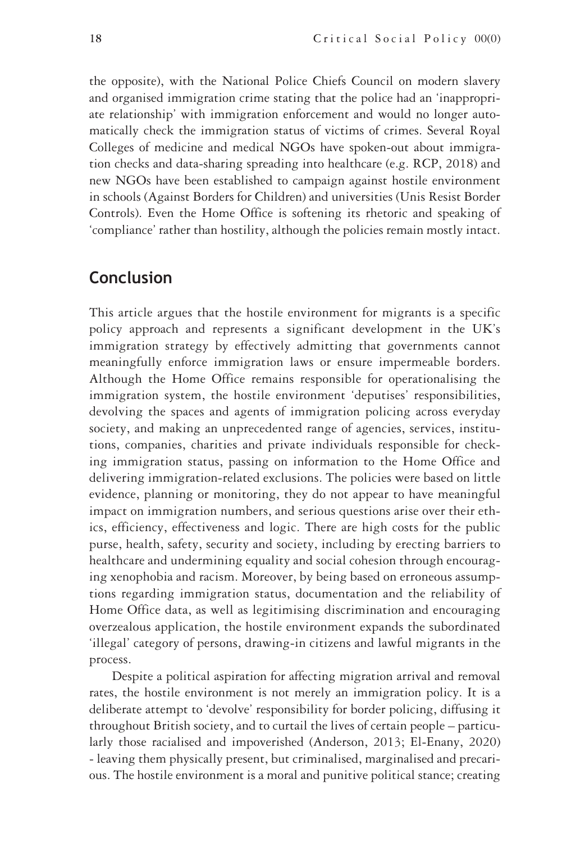the opposite), with the National Police Chiefs Council on modern slavery and organised immigration crime stating that the police had an 'inappropriate relationship' with immigration enforcement and would no longer automatically check the immigration status of victims of crimes. Several Royal Colleges of medicine and medical NGOs have spoken-out about immigration checks and data-sharing spreading into healthcare (e.g. RCP, 2018) and new NGOs have been established to campaign against hostile environment in schools (Against Borders for Children) and universities (Unis Resist Border Controls). Even the Home Office is softening its rhetoric and speaking of 'compliance' rather than hostility, although the policies remain mostly intact.

# **Conclusion**

This article argues that the hostile environment for migrants is a specific policy approach and represents a significant development in the UK's immigration strategy by effectively admitting that governments cannot meaningfully enforce immigration laws or ensure impermeable borders. Although the Home Office remains responsible for operationalising the immigration system, the hostile environment 'deputises' responsibilities, devolving the spaces and agents of immigration policing across everyday society, and making an unprecedented range of agencies, services, institutions, companies, charities and private individuals responsible for checking immigration status, passing on information to the Home Office and delivering immigration-related exclusions. The policies were based on little evidence, planning or monitoring, they do not appear to have meaningful impact on immigration numbers, and serious questions arise over their ethics, efficiency, effectiveness and logic. There are high costs for the public purse, health, safety, security and society, including by erecting barriers to healthcare and undermining equality and social cohesion through encouraging xenophobia and racism. Moreover, by being based on erroneous assumptions regarding immigration status, documentation and the reliability of Home Office data, as well as legitimising discrimination and encouraging overzealous application, the hostile environment expands the subordinated 'illegal' category of persons, drawing-in citizens and lawful migrants in the process.

Despite a political aspiration for affecting migration arrival and removal rates, the hostile environment is not merely an immigration policy. It is a deliberate attempt to 'devolve' responsibility for border policing, diffusing it throughout British society, and to curtail the lives of certain people – particularly those racialised and impoverished (Anderson, 2013; El-Enany, 2020) - leaving them physically present, but criminalised, marginalised and precarious. The hostile environment is a moral and punitive political stance; creating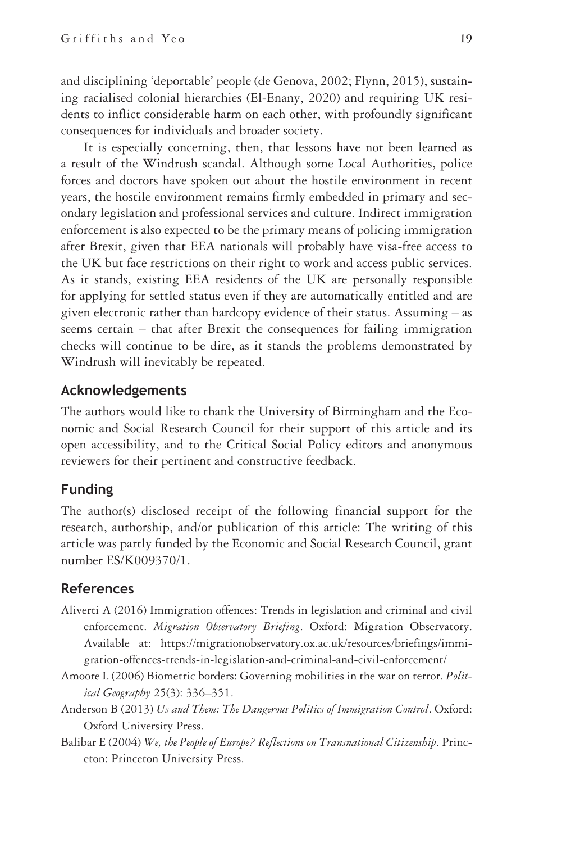and disciplining 'deportable' people (de Genova, 2002; Flynn, 2015), sustaining racialised colonial hierarchies (El-Enany, 2020) and requiring UK residents to inflict considerable harm on each other, with profoundly significant consequences for individuals and broader society.

It is especially concerning, then, that lessons have not been learned as a result of the Windrush scandal. Although some Local Authorities, police forces and doctors have spoken out about the hostile environment in recent years, the hostile environment remains firmly embedded in primary and secondary legislation and professional services and culture. Indirect immigration enforcement is also expected to be the primary means of policing immigration after Brexit, given that EEA nationals will probably have visa-free access to the UK but face restrictions on their right to work and access public services. As it stands, existing EEA residents of the UK are personally responsible for applying for settled status even if they are automatically entitled and are given electronic rather than hardcopy evidence of their status. Assuming – as seems certain – that after Brexit the consequences for failing immigration checks will continue to be dire, as it stands the problems demonstrated by Windrush will inevitably be repeated.

#### **Acknowledgements**

The authors would like to thank the University of Birmingham and the Economic and Social Research Council for their support of this article and its open accessibility, and to the Critical Social Policy editors and anonymous reviewers for their pertinent and constructive feedback.

#### **Funding**

The author(s) disclosed receipt of the following financial support for the research, authorship, and/or publication of this article: The writing of this article was partly funded by the Economic and Social Research Council, grant number ES/K009370/1.

#### **References**

- Aliverti A (2016) Immigration offences: Trends in legislation and criminal and civil enforcement. *Migration Observatory Briefing*. Oxford: Migration Observatory. Available at: [https://migrationobservatory.ox.ac.uk/resources/briefings/immi](https://migrationobservatory.ox.ac.uk/resources/briefings/immigration-offences-trends-in-legislation-and-criminal-and-civil-enforcement/)[gration-offences-trends-in-legislation-and-criminal-and-civil-enforcement/](https://migrationobservatory.ox.ac.uk/resources/briefings/immigration-offences-trends-in-legislation-and-criminal-and-civil-enforcement/)
- Amoore L (2006) Biometric borders: Governing mobilities in the war on terror. *Political Geography* 25(3): 336–351.
- Anderson B (2013) *Us and Them: The Dangerous Politics of Immigration Control*. Oxford: Oxford University Press.
- Balibar E (2004) *We, the People of Europe? Reflections on Transnational Citizenship*. Princeton: Princeton University Press.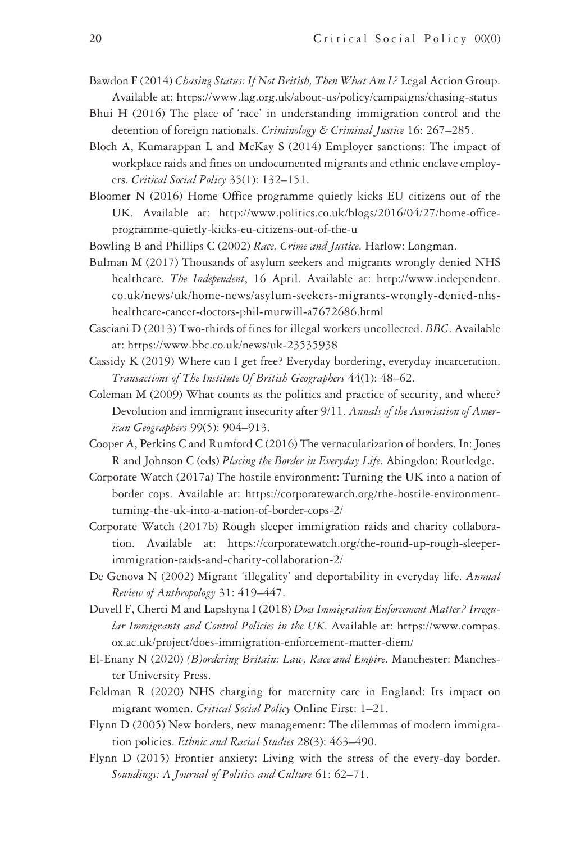- Bawdon F (2014) *Chasing Status: If Not British, Then What Am I?* Legal Action Group. Available at:<https://www.lag.org.uk/about-us/policy/campaigns/chasing-status>
- Bhui H (2016) The place of 'race' in understanding immigration control and the detention of foreign nationals. *Criminology & Criminal Justice* 16: 267–285.
- Bloch A, Kumarappan L and McKay S (2014) Employer sanctions: The impact of workplace raids and fines on undocumented migrants and ethnic enclave employers. *Critical Social Policy* 35(1): 132–151.
- Bloomer N (2016) Home Office programme quietly kicks EU citizens out of the UK. Available at: [http://www.politics.co.uk/blogs/2016/04/27/home-office](http://www.politics.co.uk/blogs/2016/04/27/home-office-programme-quietly-kicks-eu-citizens-out-of-the-u)[programme-quietly-kicks-eu-citizens-out-of-the-u](http://www.politics.co.uk/blogs/2016/04/27/home-office-programme-quietly-kicks-eu-citizens-out-of-the-u)
- Bowling B and Phillips C (2002) *Race, Crime and Justice*. Harlow: Longman.
- Bulman M (2017) Thousands of asylum seekers and migrants wrongly denied NHS healthcare. *The Independent*, 16 April. Available at: [http://www.independent.](http://www.independent.co.uk/news/uk/home-news/asylum-seekers-migrants-wrongly-denied-nhs-healthcare-cancer-doctors-phil-murwill-a7672686.html) [co.uk/news/uk/home-news/asylum-seekers-migrants-wrongly-denied-nhs](http://www.independent.co.uk/news/uk/home-news/asylum-seekers-migrants-wrongly-denied-nhs-healthcare-cancer-doctors-phil-murwill-a7672686.html)[healthcare-cancer-doctors-phil-murwill-a7672686.html](http://www.independent.co.uk/news/uk/home-news/asylum-seekers-migrants-wrongly-denied-nhs-healthcare-cancer-doctors-phil-murwill-a7672686.html)
- Casciani D (2013) Two-thirds of fines for illegal workers uncollected. *BBC*. Available at:<https://www.bbc.co.uk/news/uk-23535938>
- Cassidy K (2019) Where can I get free? Everyday bordering, everyday incarceration. *Transactions of The Institute Of British Geographers* 44(1): 48–62.
- Coleman M (2009) What counts as the politics and practice of security, and where? Devolution and immigrant insecurity after 9/11. *Annals of the Association of American Geographers* 99(5): 904–913.
- Cooper A, Perkins C and Rumford C (2016) The vernacularization of borders. In: Jones R and Johnson C (eds) *Placing the Border in Everyday Life*. Abingdon: Routledge.
- Corporate Watch (2017a) The hostile environment: Turning the UK into a nation of border cops. Available at: [https://corporatewatch.org/the-hostile-environment](https://corporatewatch.org/the-hostile-environment-turning-the-uk-into-a-nation-of-border-cops-2/)[turning-the-uk-into-a-nation-of-border-cops-2/](https://corporatewatch.org/the-hostile-environment-turning-the-uk-into-a-nation-of-border-cops-2/)
- Corporate Watch (2017b) Rough sleeper immigration raids and charity collaboration. Available at: [https://corporatewatch.org/the-round-up-rough-sleeper](https://corporatewatch.org/the-round-up-rough-sleeper-immigration-raids-and-charity-collaboration-2/)[immigration-raids-and-charity-collaboration-2/](https://corporatewatch.org/the-round-up-rough-sleeper-immigration-raids-and-charity-collaboration-2/)
- De Genova N (2002) Migrant 'illegality' and deportability in everyday life. *Annual Review of Anthropology* 31: 419–447.
- Duvell F, Cherti M and Lapshyna I (2018) *Does Immigration Enforcement Matter? Irregular Immigrants and Control Policies in the UK*. Available at: [https://www.compas.](https://www.compas.ox.ac.uk/project/does-immigration-enforcement-matter-diem/) [ox.ac.uk/project/does-immigration-enforcement-matter-diem/](https://www.compas.ox.ac.uk/project/does-immigration-enforcement-matter-diem/)
- El-Enany N (2020) *(B)ordering Britain: Law, Race and Empire*. Manchester: Manchester University Press.
- Feldman R (2020) NHS charging for maternity care in England: Its impact on migrant women. *Critical Social Policy* Online First: 1–21.
- Flynn D (2005) New borders, new management: The dilemmas of modern immigration policies. *Ethnic and Racial Studies* 28(3): 463–490.
- Flynn D (2015) Frontier anxiety: Living with the stress of the every-day border. *Soundings: A Journal of Politics and Culture* 61: 62–71.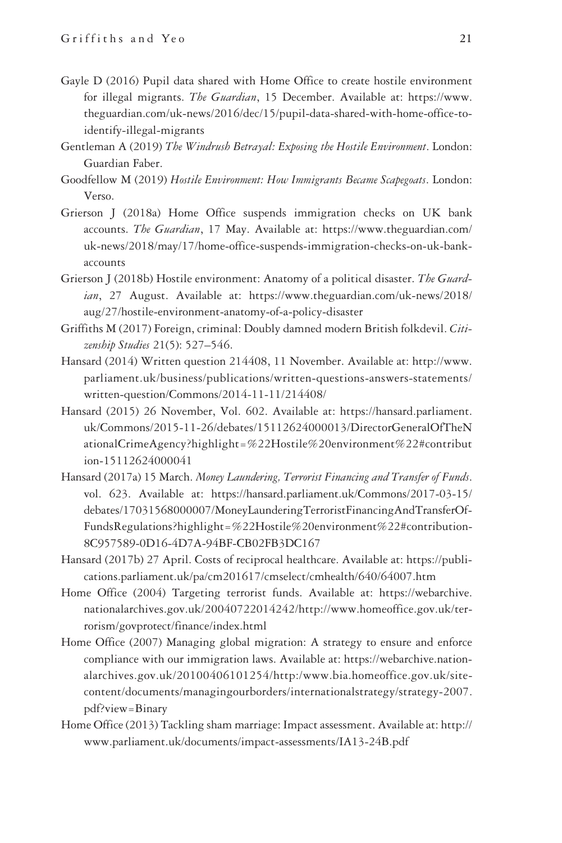- Gayle D (2016) Pupil data shared with Home Office to create hostile environment for illegal migrants. *The Guardian*, 15 December. Available at: [https://www.](https://www.theguardian.com/uk-news/2016/dec/15/pupil-data-shared-with-home-office-to-identify-illegal-migrants) [theguardian.com/uk-news/2016/dec/15/pupil-data-shared-with-home-office-to](https://www.theguardian.com/uk-news/2016/dec/15/pupil-data-shared-with-home-office-to-identify-illegal-migrants)[identify-illegal-migrants](https://www.theguardian.com/uk-news/2016/dec/15/pupil-data-shared-with-home-office-to-identify-illegal-migrants)
- Gentleman A (2019) *The Windrush Betrayal: Exposing the Hostile Environment*. London: Guardian Faber.
- Goodfellow M (2019) *Hostile Environment: How Immigrants Became Scapegoats*. London: Verso.
- Grierson J (2018a) Home Office suspends immigration checks on UK bank accounts. *The Guardian*, 17 May. Available at: [https://www.theguardian.com/](https://www.theguardian.com/uk-news/2018/may/17/home-office-suspends-immigration-checks-on-uk-bank-accounts) [uk-news/2018/may/17/home-office-suspends-immigration-checks-on-uk-bank](https://www.theguardian.com/uk-news/2018/may/17/home-office-suspends-immigration-checks-on-uk-bank-accounts)[accounts](https://www.theguardian.com/uk-news/2018/may/17/home-office-suspends-immigration-checks-on-uk-bank-accounts)
- Grierson J (2018b) Hostile environment: Anatomy of a political disaster. *The Guardian*, 27 August. Available at: [https://www.theguardian.com/uk-news/2018/](https://www.theguardian.com/uk-news/2018/aug/27/hostile-environment-anatomy-of-a-policy-disaster) [aug/27/hostile-environment-anatomy-of-a-policy-disaster](https://www.theguardian.com/uk-news/2018/aug/27/hostile-environment-anatomy-of-a-policy-disaster)
- Griffiths M (2017) Foreign, criminal: Doubly damned modern British folkdevil. *Citizenship Studies* 21(5): 527–546.
- Hansard (2014) Written question 214408, 11 November. Available at: [http://www.](http://www.parliament.uk/business/publications/written-questions-answers-statements/written-question/Commons/2014-11-11/214408/) [parliament.uk/business/publications/written-questions-answers-statements/](http://www.parliament.uk/business/publications/written-questions-answers-statements/written-question/Commons/2014-11-11/214408/) [written-question/Commons/2014-11-11/214408/](http://www.parliament.uk/business/publications/written-questions-answers-statements/written-question/Commons/2014-11-11/214408/)
- Hansard (2015) 26 November, Vol. 602. Available at: [https://hansard.parliament.](https://hansard.parliament.uk/Commons/2015-11-26/debates/15112624000013/DirectorGeneralOfTheNationalCrimeAgency?highlight=%22Hostile%20environment%22#contribution-15112624000041) [uk/Commons/2015-11-26/debates/15112624000013/DirectorGeneralOfTheN](https://hansard.parliament.uk/Commons/2015-11-26/debates/15112624000013/DirectorGeneralOfTheNationalCrimeAgency?highlight=%22Hostile%20environment%22#contribution-15112624000041) [ationalCrimeAgency?highlight=%22Hostile%20environment%22#contribut](https://hansard.parliament.uk/Commons/2015-11-26/debates/15112624000013/DirectorGeneralOfTheNationalCrimeAgency?highlight=%22Hostile%20environment%22#contribution-15112624000041) [ion-15112624000041](https://hansard.parliament.uk/Commons/2015-11-26/debates/15112624000013/DirectorGeneralOfTheNationalCrimeAgency?highlight=%22Hostile%20environment%22#contribution-15112624000041)
- Hansard (2017a) 15 March. *Money Laundering, Terrorist Financing and Transfer of Funds*. vol. 623. Available at: [https://hansard.parliament.uk/Commons/2017-03-15/](https://hansard.parliament.uk/Commons/2017-03-15/debates/17031568000007/MoneyLaunderingTerroristFinancingAndTransferOfFundsRegulations?highlight=%22Hostile%20environment%22#contribution-8C957589-0D16-4D7A-94BF-CB02FB3DC167) [debates/17031568000007/MoneyLaunderingTerroristFinancingAndTransferOf-](https://hansard.parliament.uk/Commons/2017-03-15/debates/17031568000007/MoneyLaunderingTerroristFinancingAndTransferOfFundsRegulations?highlight=%22Hostile%20environment%22#contribution-8C957589-0D16-4D7A-94BF-CB02FB3DC167)[FundsRegulations?highlight=%22Hostile%20environment%22#contribution-](https://hansard.parliament.uk/Commons/2017-03-15/debates/17031568000007/MoneyLaunderingTerroristFinancingAndTransferOfFundsRegulations?highlight=%22Hostile%20environment%22#contribution-8C957589-0D16-4D7A-94BF-CB02FB3DC167)[8C957589-0D16-4D7A-94BF-CB02FB3DC167](https://hansard.parliament.uk/Commons/2017-03-15/debates/17031568000007/MoneyLaunderingTerroristFinancingAndTransferOfFundsRegulations?highlight=%22Hostile%20environment%22#contribution-8C957589-0D16-4D7A-94BF-CB02FB3DC167)
- Hansard (2017b) 27 April. Costs of reciprocal healthcare. Available at: [https://publi](https://publications.parliament.uk/pa/cm201617/cmselect/cmhealth/640/64007.htm)[cations.parliament.uk/pa/cm201617/cmselect/cmhealth/640/64007.htm](https://publications.parliament.uk/pa/cm201617/cmselect/cmhealth/640/64007.htm)
- Home Office (2004) Targeting terrorist funds. Available at: [https://webarchive.](https://webarchive.nationalarchives.gov.uk/20040722014242/http://www.homeoffice.gov.uk/terrorism/govprotect/finance/index.html) [nationalarchives.gov.uk/20040722014242/http://www.homeoffice.gov.uk/ter](https://webarchive.nationalarchives.gov.uk/20040722014242/http://www.homeoffice.gov.uk/terrorism/govprotect/finance/index.html)[rorism/govprotect/finance/index.html](https://webarchive.nationalarchives.gov.uk/20040722014242/http://www.homeoffice.gov.uk/terrorism/govprotect/finance/index.html)
- Home Office (2007) Managing global migration: A strategy to ensure and enforce compliance with our immigration laws. Available at: [https://webarchive.nation](https://webarchive.nationalarchives.gov.uk/20100406101254/http:/www.bia.homeoffice.gov.uk/sitecontent/documents/managingourborders/internationalstrategy/strategy-2007.pdf?view=Binary)[alarchives.gov.uk/20100406101254/http:/www.bia.homeoffice.gov.uk/site](https://webarchive.nationalarchives.gov.uk/20100406101254/http:/www.bia.homeoffice.gov.uk/sitecontent/documents/managingourborders/internationalstrategy/strategy-2007.pdf?view=Binary)[content/documents/managingourborders/internationalstrategy/strategy-2007.](https://webarchive.nationalarchives.gov.uk/20100406101254/http:/www.bia.homeoffice.gov.uk/sitecontent/documents/managingourborders/internationalstrategy/strategy-2007.pdf?view=Binary) [pdf?view=Binary](https://webarchive.nationalarchives.gov.uk/20100406101254/http:/www.bia.homeoffice.gov.uk/sitecontent/documents/managingourborders/internationalstrategy/strategy-2007.pdf?view=Binary)
- Home Office (2013) Tackling sham marriage: Impact assessment. Available at: [http://](http://www.parliament.uk/documents/impact-assessments/IA13-24B.pdf) [www.parliament.uk/documents/impact-assessments/IA13-24B.pdf](http://www.parliament.uk/documents/impact-assessments/IA13-24B.pdf)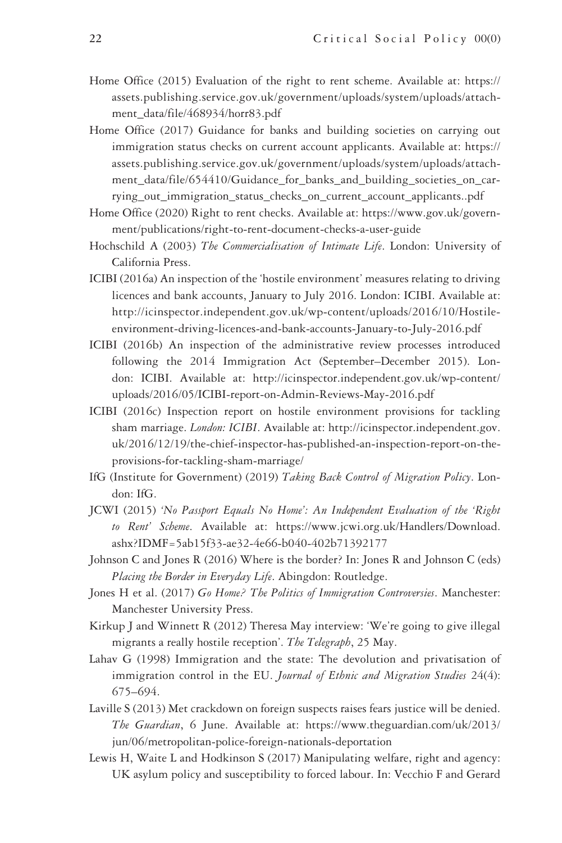- Home Office (2015) Evaluation of the right to rent scheme. Available at: [https://](https://assets.publishing.service.gov.uk/government/uploads/system/uploads/attachment_data/file/468934/horr83.pdf) [assets.publishing.service.gov.uk/government/uploads/system/uploads/attach](https://assets.publishing.service.gov.uk/government/uploads/system/uploads/attachment_data/file/468934/horr83.pdf)[ment\\_data/file/468934/horr83.pdf](https://assets.publishing.service.gov.uk/government/uploads/system/uploads/attachment_data/file/468934/horr83.pdf)
- Home Office (2017) Guidance for banks and building societies on carrying out immigration status checks on current account applicants. Available at: [https://](https://assets.publishing.service.gov.uk/government/uploads/system/uploads/attachment_data/file/654410/Guidance_for_banks_and_building_societies_on_carrying_out_immigration_status_checks_on_current_account_applicants..pdf) [assets.publishing.service.gov.uk/government/uploads/system/uploads/attach](https://assets.publishing.service.gov.uk/government/uploads/system/uploads/attachment_data/file/654410/Guidance_for_banks_and_building_societies_on_carrying_out_immigration_status_checks_on_current_account_applicants..pdf)[ment\\_data/file/654410/Guidance\\_for\\_banks\\_and\\_building\\_societies\\_on\\_car](https://assets.publishing.service.gov.uk/government/uploads/system/uploads/attachment_data/file/654410/Guidance_for_banks_and_building_societies_on_carrying_out_immigration_status_checks_on_current_account_applicants..pdf)[rying\\_out\\_immigration\\_status\\_checks\\_on\\_current\\_account\\_applicants..pdf](https://assets.publishing.service.gov.uk/government/uploads/system/uploads/attachment_data/file/654410/Guidance_for_banks_and_building_societies_on_carrying_out_immigration_status_checks_on_current_account_applicants..pdf)
- Home Office (2020) Right to rent checks. Available at: [https://www.gov.uk/govern](https://www.gov.uk/government/publications/right-to-rent-document-checks-a-user-guide)[ment/publications/right-to-rent-document-checks-a-user-guide](https://www.gov.uk/government/publications/right-to-rent-document-checks-a-user-guide)
- Hochschild A (2003) *The Commercialisation of Intimate Life*. London: University of California Press.
- ICIBI (2016a) An inspection of the 'hostile environment' measures relating to driving licences and bank accounts, January to July 2016. London: ICIBI. Available at: [http://icinspector.independent.gov.uk/wp-content/uploads/2016/10/Hostile](http://icinspector.independent.gov.uk/wp-content/uploads/2016/10/Hostile-environment-driving-licences-and-bank-accounts-January-to-July-2016.pdf)[environment-driving-licences-and-bank-accounts-January-to-July-2016.pdf](http://icinspector.independent.gov.uk/wp-content/uploads/2016/10/Hostile-environment-driving-licences-and-bank-accounts-January-to-July-2016.pdf)
- ICIBI (2016b) An inspection of the administrative review processes introduced following the 2014 Immigration Act (September–December 2015). London: ICIBI. Available at: [http://icinspector.independent.gov.uk/wp-content/](http://icinspector.independent.gov.uk/wp-content/uploads/2016/05/ICIBI-report-on-Admin-Reviews-May-2016.pdf) [uploads/2016/05/ICIBI-report-on-Admin-Reviews-May-2016.pdf](http://icinspector.independent.gov.uk/wp-content/uploads/2016/05/ICIBI-report-on-Admin-Reviews-May-2016.pdf)
- ICIBI (2016c) Inspection report on hostile environment provisions for tackling sham marriage. *London: ICIBI*. Available at: [http://icinspector.independent.gov.](http://icinspector.independent.gov.uk/2016/12/19/the-chief-inspector-has-published-an-inspection-report-on-the-provisions-for-tackling-sham-marriage/) [uk/2016/12/19/the-chief-inspector-has-published-an-inspection-report-on-the](http://icinspector.independent.gov.uk/2016/12/19/the-chief-inspector-has-published-an-inspection-report-on-the-provisions-for-tackling-sham-marriage/)[provisions-for-tackling-sham-marriage/](http://icinspector.independent.gov.uk/2016/12/19/the-chief-inspector-has-published-an-inspection-report-on-the-provisions-for-tackling-sham-marriage/)
- IfG (Institute for Government) (2019) *Taking Back Control of Migration Policy*. London: IfG.
- JCWI (2015) *'No Passport Equals No Home': An Independent Evaluation of the 'Right to Rent' Scheme*. Available at: [https://www.jcwi.org.uk/Handlers/Download.](https://www.jcwi.org.uk/Handlers/Download.ashx?IDMF=5ab15f33-ae32-4e66-b040-402b71392177) [ashx?IDMF=5ab15f33-ae32-4e66-b040-402b71392177](https://www.jcwi.org.uk/Handlers/Download.ashx?IDMF=5ab15f33-ae32-4e66-b040-402b71392177)
- Johnson C and Jones R (2016) Where is the border? In: Jones R and Johnson C (eds) *Placing the Border in Everyday Life*. Abingdon: Routledge.
- Jones H et al. (2017) *Go Home? The Politics of Immigration Controversies*. Manchester: Manchester University Press.
- Kirkup J and Winnett R (2012) Theresa May interview: 'We're going to give illegal migrants a really hostile reception'. *The Telegraph*, 25 May.
- Lahav G (1998) Immigration and the state: The devolution and privatisation of immigration control in the EU. *Journal of Ethnic and Migration Studies* 24(4): 675–694.
- Laville S (2013) Met crackdown on foreign suspects raises fears justice will be denied. *The Guardian*, 6 June. Available at: [https://www.theguardian.com/uk/2013/](https://www.theguardian.com/uk/2013/jun/06/metropolitan-police-foreign-nationals-deportation) [jun/06/metropolitan-police-foreign-nationals-deportation](https://www.theguardian.com/uk/2013/jun/06/metropolitan-police-foreign-nationals-deportation)
- Lewis H, Waite L and Hodkinson S (2017) Manipulating welfare, right and agency: UK asylum policy and susceptibility to forced labour. In: Vecchio F and Gerard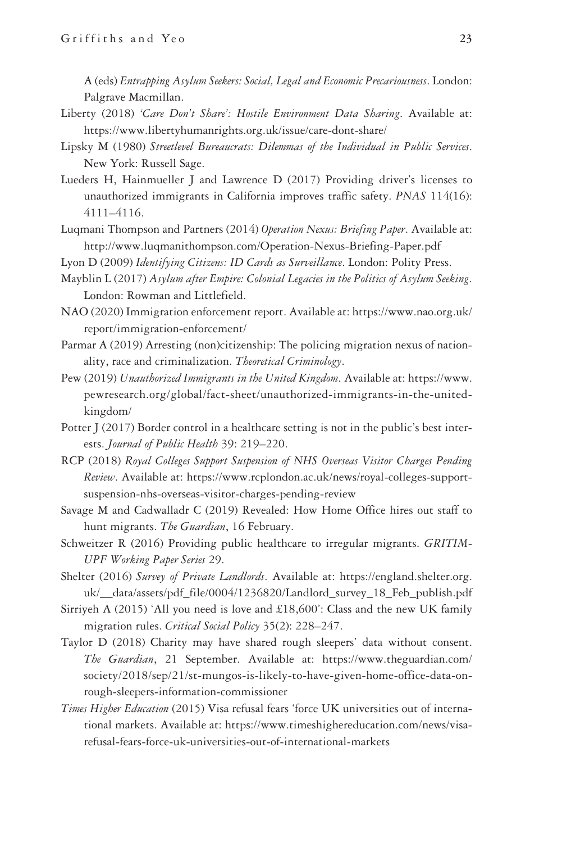A (eds) *Entrapping Asylum Seekers: Social, Legal and Economic Precariousness*. London: Palgrave Macmillan.

- Liberty (2018) *'Care Don't Share': Hostile Environment Data Sharing*. Available at: <https://www.libertyhumanrights.org.uk/issue/care-dont-share/>
- Lipsky M (1980) *Streetlevel Bureaucrats: Dilemmas of the Individual in Public Services*. New York: Russell Sage.
- Lueders H, Hainmueller J and Lawrence D (2017) Providing driver's licenses to unauthorized immigrants in California improves traffic safety. *PNAS* 114(16): 4111–4116.
- Luqmani Thompson and Partners (2014) *Operation Nexus: Briefing Paper*. Available at: <http://www.luqmanithompson.com/Operation-Nexus-Briefing-Paper.pdf>
- Lyon D (2009) *Identifying Citizens: ID Cards as Surveillance*. London: Polity Press.
- Mayblin L (2017) *Asylum after Empire: Colonial Legacies in the Politics of Asylum Seeking*. London: Rowman and Littlefield.
- NAO (2020) Immigration enforcement report. Available at: [https://www.nao.org.uk/](https://www.nao.org.uk/report/immigration-enforcement/) [report/immigration-enforcement/](https://www.nao.org.uk/report/immigration-enforcement/)
- Parmar A (2019) Arresting (non)citizenship: The policing migration nexus of nationality, race and criminalization. *Theoretical Criminology*.
- Pew (2019) *Unauthorized Immigrants in the United Kingdom*. Available at: [https://www.](https://www.pewresearch.org/global/fact-sheet/unauthorized-immigrants-in-the-united-kingdom/) [pewresearch.org/global/fact-sheet/unauthorized-immigrants-in-the-united](https://www.pewresearch.org/global/fact-sheet/unauthorized-immigrants-in-the-united-kingdom/)[kingdom/](https://www.pewresearch.org/global/fact-sheet/unauthorized-immigrants-in-the-united-kingdom/)
- Potter J (2017) Border control in a healthcare setting is not in the public's best interests. *Journal of Public Health* 39: 219–220.
- RCP (2018) *Royal Colleges Support Suspension of NHS Overseas Visitor Charges Pending Review*. Available at: [https://www.rcplondon.ac.uk/news/royal-colleges-support](https://www.rcplondon.ac.uk/news/royal-colleges-support-suspension-nhs-overseas-visitor-charges-pending-review)[suspension-nhs-overseas-visitor-charges-pending-review](https://www.rcplondon.ac.uk/news/royal-colleges-support-suspension-nhs-overseas-visitor-charges-pending-review)
- Savage M and Cadwalladr C (2019) Revealed: How Home Office hires out staff to hunt migrants. *The Guardian*, 16 February.
- Schweitzer R (2016) Providing public healthcare to irregular migrants. *GRITIM-UPF Working Paper Series* 29.
- Shelter (2016) *Survey of Private Landlords*. Available at: [https://england.shelter.org.](https://england.shelter.org.uk/__data/assets/pdf_file/0004/1236820/Landlord_survey_18_Feb_publish.pdf) [uk/\\_\\_data/assets/pdf\\_file/0004/1236820/Landlord\\_survey\\_18\\_Feb\\_publish.pdf](https://england.shelter.org.uk/__data/assets/pdf_file/0004/1236820/Landlord_survey_18_Feb_publish.pdf)
- Sirriyeh A (2015) 'All you need is love and £18,600': Class and the new UK family migration rules. *Critical Social Policy* 35(2): 228–247.
- Taylor D (2018) Charity may have shared rough sleepers' data without consent. *The Guardian*, 21 September. Available at: [https://www.theguardian.com/](https://www.theguardian.com/society/2018/sep/21/st-mungos-is-likely-to-have-given-home-office-data-on-rough-sleepers-information-commissioner) [society/2018/sep/21/st-mungos-is-likely-to-have-given-home-office-data-on](https://www.theguardian.com/society/2018/sep/21/st-mungos-is-likely-to-have-given-home-office-data-on-rough-sleepers-information-commissioner)[rough-sleepers-information-commissioner](https://www.theguardian.com/society/2018/sep/21/st-mungos-is-likely-to-have-given-home-office-data-on-rough-sleepers-information-commissioner)
- *Times Higher Education* (2015) Visa refusal fears 'force UK universities out of international markets. Available at: [https://www.timeshighereducation.com/news/visa](https://www.timeshighereducation.com/news/visa-refusal-fears-force-uk-universities-out-of-international-markets)[refusal-fears-force-uk-universities-out-of-international-markets](https://www.timeshighereducation.com/news/visa-refusal-fears-force-uk-universities-out-of-international-markets)